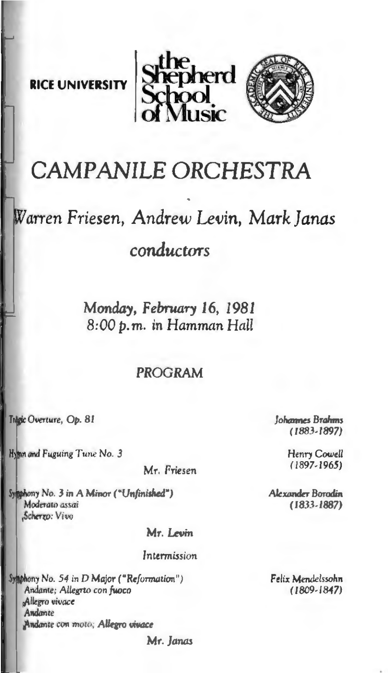**RICE UNIVERSITY** 





# CAMPANILE ORCHESTRA

# Warren Friesen, Andrew Levin, Mark Janas conductors

Monday, February 16, 1981 8:00 p.m. in Hamman Hall

### **PROGRAM**

Trăgic Overture, Ob. 81

Hymn and Fuguing Tune No. 3

Mr. Friesen

Symphony No. 3 in A Mimor ("Unfinished") Moderato assai Scherro: Vivo

Mr. Levin

#### Intermission

Symphony No. 54 in D Major ("Reformation") Andante; Allegrto con fuoco Allegro vivace Andonte Andante con moto: Allegro vivace

Mr. Janas

Johannes Brahms  $(1883.1897)$ 

> Henry Cowell  $(1897, 1965)$

Alexander Borodin (1833-1887)

Felix Mendelssohn  $(1809 - 1847)$